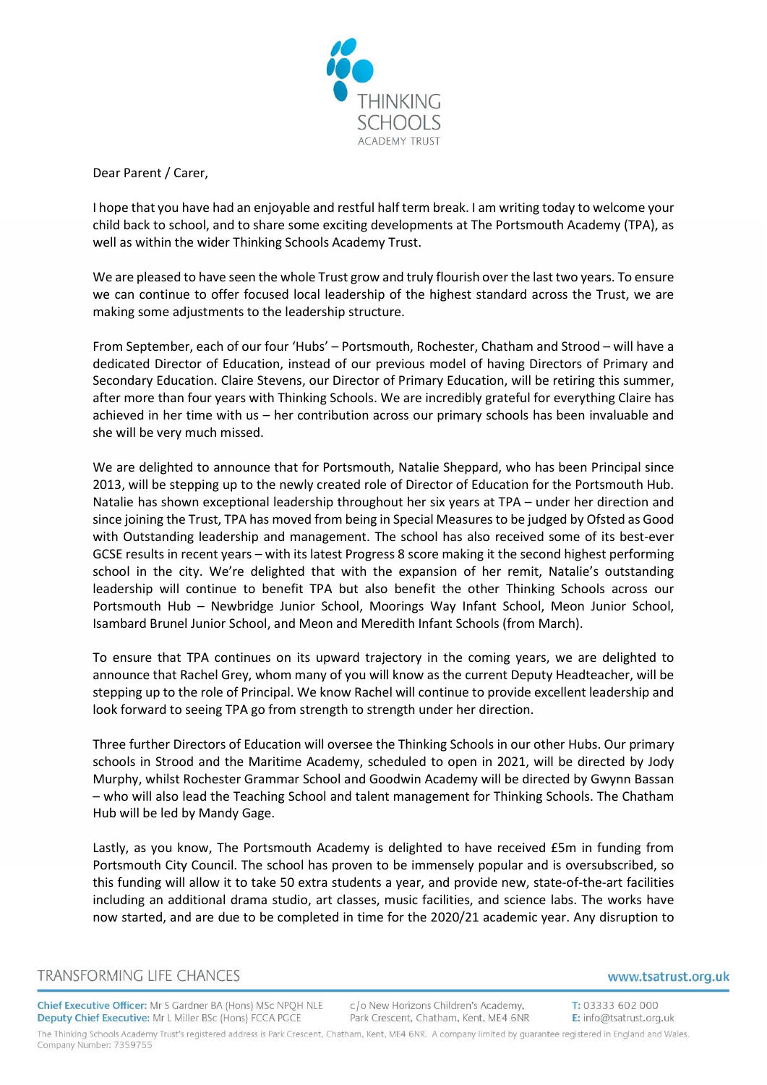

Dear Parent / Carer,

I hope that you have had an enjoyable and restful half term break. I am writing today to welcome your child back to school, and to share some exciting developments at The Portsmouth Academy (TPA), as well as within the wider Thinking Schools Academy Trust.

We are pleased to have seen the whole Trust grow and truly flourish over the last two years. To ensure we can continue to offer focused local leadership of the highest standard across the Trust, we are making some adjustments to the leadership structure.

From September, each of our four 'Hubs' – Portsmouth, Rochester, Chatham and Strood – will have a dedicated Director of Education, instead of our previous model of having Directors of Primary and Secondary Education. Claire Stevens, our Director of Primary Education, will be retiring this summer, after more than four years with Thinking Schools. We are incredibly grateful for everything Claire has achieved in her time with us – her contribution across our primary schools has been invaluable and she will be very much missed.

We are delighted to announce that for Portsmouth, Natalie Sheppard, who has been Principal since 2013, will be stepping up to the newly created role of Director of Education for the Portsmouth Hub. Natalie has shown exceptional leadership throughout her six years at TPA – under her direction and since joining the Trust, TPA has moved from being in Special Measures to be judged by Ofsted as Good with Outstanding leadership and management. The school has also received some of its best-ever GCSE results in recent years – with its latest Progress 8 score making it the second highest performing school in the city. We're delighted that with the expansion of her remit, Natalie's outstanding leadership will continue to benefit TPA but also benefit the other Thinking Schools across our Portsmouth Hub – Newbridge Junior School, Moorings Way Infant School, Meon Junior School, Isambard Brunel Junior School, and Meon and Meredith Infant Schools (from March).

To ensure that TPA continues on its upward trajectory in the coming years, we are delighted to announce that Rachel Grey, whom many of you will know as the current Deputy Headteacher, will be stepping up to the role of Principal. We know Rachel will continue to provide excellent leadership and look forward to seeing TPA go from strength to strength under her direction.

Three further Directors of Education will oversee the Thinking Schools in our other Hubs. Our primary schools in Strood and the Maritime Academy, scheduled to open in 2021, will be directed by Jody Murphy, whilst Rochester Grammar School and Goodwin Academy will be directed by Gwynn Bassan – who will also lead the Teaching School and talent management for Thinking Schools. The Chatham Hub will be led by Mandy Gage.

Lastly, as you know, The Portsmouth Academy is delighted to have received £5m in funding from Portsmouth City Council. The school has proven to be immensely popular and is oversubscribed, so this funding will allow it to take 50 extra students a year, and provide new, state-of-the-art facilities including an additional drama studio, art classes, music facilities, and science labs. The works have now started, and are due to be completed in time for the 2020/21 academic year. Any disruption to

Company Number: 7359755